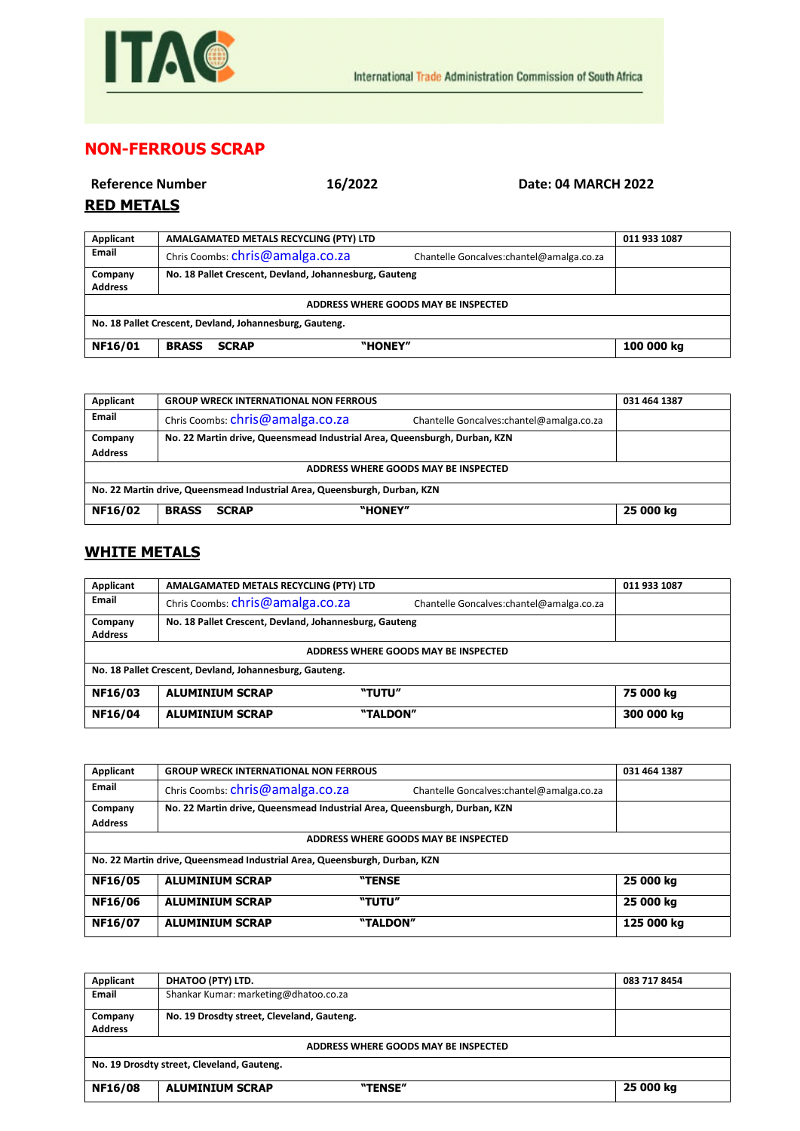

## **NON-FERROUS SCRAP**

| <b>Reference Number</b><br><b>RED METALS</b> | 16/2022                                                | Date: 04 MARCH 2022                       |              |
|----------------------------------------------|--------------------------------------------------------|-------------------------------------------|--------------|
| Applicant                                    | AMALGAMATED METALS RECYCLING (PTY) LTD                 |                                           | 011 933 1087 |
| Email                                        | Chris Coombs: chris@amalga.co.za                       | Chantelle Goncalves: chantel@amalga.co.za |              |
| Company<br><b>Address</b>                    | No. 18 Pallet Crescent, Devland, Johannesburg, Gauteng |                                           |              |
| ADDRESS WHERE GOODS MAY BE INSPECTED         |                                                        |                                           |              |

**NF16/01 BRASS SCRAP "HONEY" 100 000 kg**

**No. 18 Pallet Crescent, Devland, Johannesburg, Gauteng.**

| Applicant                                                                 | <b>GROUP WRECK INTERNATIONAL NON FERROUS</b>                                 | 031 464 1387 |  |
|---------------------------------------------------------------------------|------------------------------------------------------------------------------|--------------|--|
| Email                                                                     | Chris Coombs: chris@amalga.co.za<br>Chantelle Goncalves:chantel@amalga.co.za |              |  |
| Company                                                                   | No. 22 Martin drive, Queensmead Industrial Area, Queensburgh, Durban, KZN    |              |  |
| <b>Address</b>                                                            |                                                                              |              |  |
| ADDRESS WHERE GOODS MAY BE INSPECTED                                      |                                                                              |              |  |
| No. 22 Martin drive, Queensmead Industrial Area, Queensburgh, Durban, KZN |                                                                              |              |  |
| <b>NF16/02</b>                                                            | "HONEY"<br><b>BRASS</b><br><b>SCRAP</b>                                      | 25 000 kg    |  |

## **WHITE METALS**

| Applicant                                               | AMALGAMATED METALS RECYCLING (PTY) LTD                 |                                           | 011 933 1087 |
|---------------------------------------------------------|--------------------------------------------------------|-------------------------------------------|--------------|
| <b>Email</b>                                            | Chris Coombs: chris@amalga.co.za                       | Chantelle Goncalves: chantel@amalga.co.za |              |
| Company                                                 | No. 18 Pallet Crescent, Devland, Johannesburg, Gauteng |                                           |              |
| <b>Address</b>                                          |                                                        |                                           |              |
| ADDRESS WHERE GOODS MAY BE INSPECTED                    |                                                        |                                           |              |
| No. 18 Pallet Crescent, Devland, Johannesburg, Gauteng. |                                                        |                                           |              |
| NF16/03                                                 | <b>ALUMINIUM SCRAP</b>                                 | "TUTU"                                    | 75 000 kg    |
| NF16/04                                                 | <b>ALUMINIUM SCRAP</b>                                 | "TALDON"                                  | 300 000 kg   |

| Applicant                                                                 | <b>GROUP WRECK INTERNATIONAL NON FERROUS</b>                              |                                          | 031 464 1387 |
|---------------------------------------------------------------------------|---------------------------------------------------------------------------|------------------------------------------|--------------|
| Email                                                                     | Chris Coombs: chris@amalga.co.za                                          | Chantelle Goncalves:chantel@amalga.co.za |              |
| Company                                                                   | No. 22 Martin drive, Queensmead Industrial Area, Queensburgh, Durban, KZN |                                          |              |
| <b>Address</b>                                                            |                                                                           |                                          |              |
| ADDRESS WHERE GOODS MAY BE INSPECTED                                      |                                                                           |                                          |              |
| No. 22 Martin drive, Queensmead Industrial Area, Queensburgh, Durban, KZN |                                                                           |                                          |              |
| <b>NF16/05</b>                                                            | <b>ALUMINIUM SCRAP</b><br>"TENSE                                          |                                          | 25 000 kg    |
| <b>NF16/06</b>                                                            | "TUTU"<br><b>ALUMINIUM SCRAP</b>                                          |                                          | 25 000 kg    |
| <b>NF16/07</b>                                                            | "TALDON"<br><b>ALUMINIUM SCRAP</b>                                        |                                          | 125 000 kg   |

| Applicant                                  | DHATOO (PTY) LTD.                          | 083 717 8454 |
|--------------------------------------------|--------------------------------------------|--------------|
| <b>Email</b>                               | Shankar Kumar: marketing@dhatoo.co.za      |              |
| Company<br><b>Address</b>                  | No. 19 Drosdty street, Cleveland, Gauteng. |              |
| ADDRESS WHERE GOODS MAY BE INSPECTED       |                                            |              |
| No. 19 Drosdty street, Cleveland, Gauteng. |                                            |              |
| <b>NF16/08</b>                             | <b>ALUMINIUM SCRAP</b><br>"TENSE"          | 25 000 kg    |